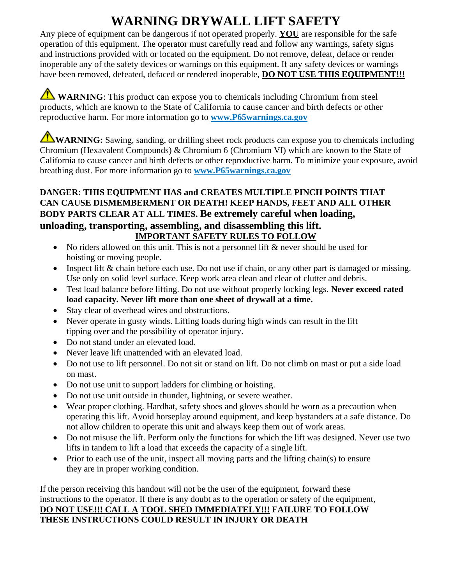## **WARNING DRYWALL LIFT SAFETY**

Any piece of equipment can be dangerous if not operated properly. **YOU** are responsible for the safe operation of this equipment. The operator must carefully read and follow any warnings, safety signs and instructions provided with or located on the equipment. Do not remove, defeat, deface or render inoperable any of the safety devices or warnings on this equipment. If any safety devices or warnings have been removed, defeated, defaced or rendered inoperable, **DO NOT USE THIS EQUIPMENT!!!** 

**WARNING**: This product can expose you to chemicals including Chromium from steel products, which are known to the State of California to cause cancer and birth defects or other reproductive harm. For more information go to **[www.P65warnings.ca.gov](http://www.p65warnings.ca.gov/)**

**WARNING:** Sawing, sanding, or drilling sheet rock products can expose you to chemicals including Chromium (Hexavalent Compounds) & Chromium 6 (Chromium VI) which are known to the State of California to cause cancer and birth defects or other reproductive harm. To minimize your exposure, avoid breathing dust. For more information go to **[www.P65warnings.ca.gov](http://www.p65warnings.ca.gov/)**

#### **DANGER: THIS EQUIPMENT HAS and CREATES MULTIPLE PINCH POINTS THAT CAN CAUSE DISMEMBERMENT OR DEATH! KEEP HANDS, FEET AND ALL OTHER BODY PARTS CLEAR AT ALL TIMES. Be extremely careful when loading, unloading, transporting, assembling, and disassembling this lift. IMPORTANT SAFETY RULES TO FOLLOW**

- No riders allowed on this unit. This is not a personnel lift & never should be used for hoisting or moving people.
- Inspect lift & chain before each use. Do not use if chain, or any other part is damaged or missing. Use only on solid level surface. Keep work area clean and clear of clutter and debris.
- Test load balance before lifting. Do not use without properly locking legs. **Never exceed rated load capacity. Never lift more than one sheet of drywall at a time.**
- Stay clear of overhead wires and obstructions.
- Never operate in gusty winds. Lifting loads during high winds can result in the lift tipping over and the possibility of operator injury.
- Do not stand under an elevated load.
- Never leave lift unattended with an elevated load.
- Do not use to lift personnel. Do not sit or stand on lift. Do not climb on mast or put a side load on mast.
- Do not use unit to support ladders for climbing or hoisting.
- Do not use unit outside in thunder, lightning, or severe weather.
- Wear proper clothing. Hardhat, safety shoes and gloves should be worn as a precaution when operating this lift. Avoid horseplay around equipment, and keep bystanders at a safe distance. Do not allow children to operate this unit and always keep them out of work areas.
- Do not misuse the lift. Perform only the functions for which the lift was designed. Never use two lifts in tandem to lift a load that exceeds the capacity of a single lift.
- Prior to each use of the unit, inspect all moving parts and the lifting chain(s) to ensure they are in proper working condition.

If the person receiving this handout will not be the user of the equipment, forward these instructions to the operator. If there is any doubt as to the operation or safety of the equipment, **DO NOT USE!!! CALL A TOOL SHED IMMEDIATELY!!! FAILURE TO FOLLOW THESE INSTRUCTIONS COULD RESULT IN INJURY OR DEATH**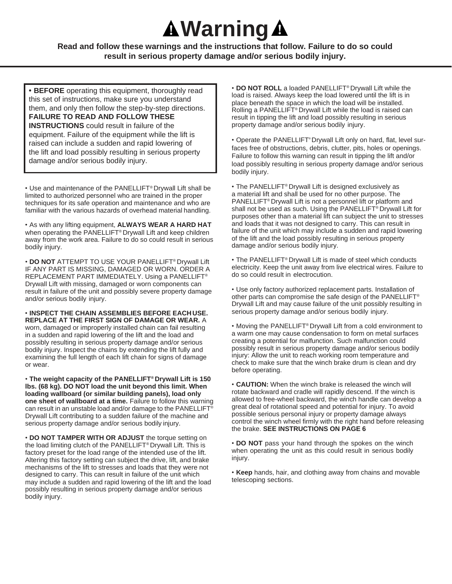# **Warning**

**Read and follow these warnings and the instructions that follow. Failure to do so could result in serious property damage and/or serious bodily injury.**

**• BEFORE** operating this equipment, thoroughly read this set of instructions, make sure you understand them, and only then follow the step-by-step directions. **FAILURE TO READ AND FOLLOW THESE INSTRUCTIONS** could result in failure of the equipment. Failure of the equipment while the lift is raised can include a sudden and rapid lowering of the lift and load possibly resulting in serious property damage and/or serious bodily injury.

• Use and maintenance of the PANELLIFT® Drywall Lift shall be limited to authorized personnel who are trained in the proper techniques for its safe operation and maintenance and who are familiar with the various hazards of overhead material handling.

• As with any lifting equipment, **ALWAYS WEAR A HARD HAT**  when operating the PANELLIFT® Drywall Lift and keep children away from the work area. Failure to do so could result in serious bodily injury.

• **DO NOT** ATTEMPT TO USE YOUR PANELLIFT® Drywall Lift IF ANY PART IS MISSING, DAMAGED OR WORN. ORDER A REPLACEMENT PART IMMEDIATELY. Using a PANELLIFT® Drywall Lift with missing, damaged or worn components can result in failure of the unit and possibly severe property damage and/or serious bodily injury.

• **INSPECT THE CHAIN ASSEMBLIES BEFORE EACH USE. REPLACE AT THE FIRST SIGN OF DAMAGE OR WEAR.** A worn, damaged or improperly installed chain can fail resulting in a sudden and rapid lowering of the lift and the load and possibly resulting in serious property damage and/or serious bodily injury. Inspect the chains by extending the lift fully and examining the full length of each lift chain for signs of damage or wear.

• **The weight capacity of the PANELLIFT® Drywall Lift is 150 lbs. (68 kg). DO NOT load the unit beyond this limit. When loading wallboard (or similar building panels), load only one sheet of wallboard at a time.** Failure to follow this warning can result in an unstable load and/or damage to the PANELLIFT® Drywall Lift contributing to a sudden failure of the machine and serious property damage and/or serious bodily injury.

• **DO NOT TAMPER WITH OR ADJUST** the torque setting on the load limiting clutch of the PANELLIFT® Drywall Lift. This is factory preset for the load range of the intended use of the lift. Altering this factory setting can subject the drive, lift, and brake mechanisms of the lift to stresses and loads that they were not designed to carry. This can result in failure of the unit which may include a sudden and rapid lowering of the lift and the load possibly resulting in serious property damage and/or serious bodily injury.

• **DO NOT ROLL** a loaded PANELLIFT® Drywall Lift while the load is raised. Always keep the load lowered until the lift is in place beneath the space in which the load will be installed. Rolling a PANELLIFT® Drywall Lift while the load is raised can result in tipping the lift and load possibly resulting in serious property damage and/or serious bodily injury.

• Operate the PANELLIFT® Drywall Lift only on hard, flat, level surfaces free of obstructions, debris, clutter, pits, holes or openings. Failure to follow this warning can result in tipping the lift and/or load possibly resulting in serious property damage and/or serious bodily injury.

• The PANELLIFT® Drywall Lift is designed exclusively as a material lift and shall be used for no other purpose. The PANELLIFT® Drywall Lift is not a personnel lift or platform and shall not be used as such. Using the PANELLIFT® Drywall Lift for purposes other than a material lift can subject the unit to stresses and loads that it was not designed to carry. This can result in failure of the unit which may include a sudden and rapid lowering of the lift and the load possibly resulting in serious property damage and/or serious bodily injury.

• The PANELLIFT® Drywall Lift is made of steel which conducts electricity. Keep the unit away from live electrical wires. Failure to do so could result in electrocution.

• Use only factory authorized replacement parts. Installation of other parts can compromise the safe design of the PANELLIFT® Drywall Lift and may cause failure of the unit possibly resulting in serious property damage and/or serious bodily injury.

• Moving the PANELLIFT® Drywall Lift from a cold environment to a warm one may cause condensation to form on metal surfaces creating a potential for malfunction. Such malfunction could possibly result in serious property damage and/or serious bodily injury: Allow the unit to reach working room temperature and check to make sure that the winch brake drum is clean and dry before operating.

• **CAUTION:** When the winch brake is released the winch will rotate backward and cradle will rapidly descend. If the winch is allowed to free-wheel backward, the winch handle can develop a great deal of rotational speed and potential for injury. To avoid possible serious personal injury or property damage always control the winch wheel firmly with the right hand before releasing the brake. **SEE INSTRUCTIONS ON PAGE 6**

• **DO NOT** pass your hand through the spokes on the winch when operating the unit as this could result in serious bodily injury.

• **Keep** hands, hair, and clothing away from chains and movable telescoping sections.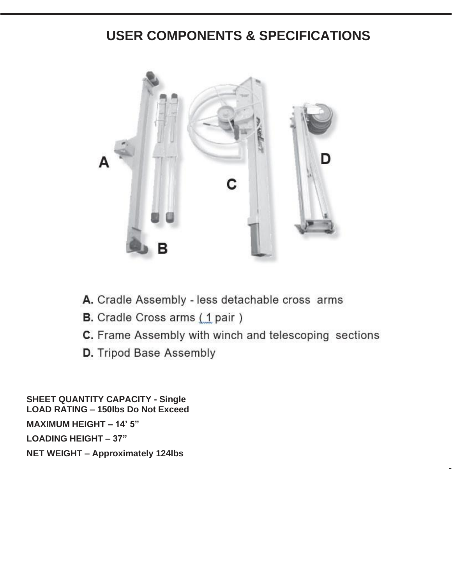## **USER COMPONENTS & SPECIFICATIONS**



- A. Cradle Assembly less detachable cross arms
- **B.** Cradle Cross arms (1 pair)
- C. Frame Assembly with winch and telescoping sections

-

D. Tripod Base Assembly

**SHEET QUANTITY CAPACITY - Single LOAD RATING – 150lbs Do Not Exceed MAXIMUM HEIGHT – 14' 5" LOADING HEIGHT – 37" NET WEIGHT – Approximately 124lbs**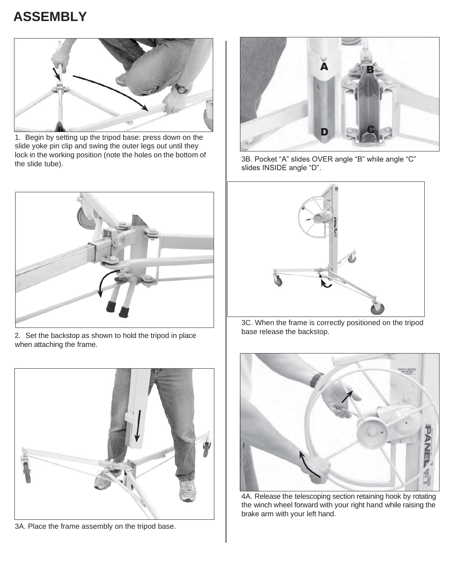# **ASSEMBLY**



1. Begin by setting up the tripod base: press down on the slide yoke pin clip and swing the outer legs out until they lock in the working position (note the holes on the bottom of the slide tube).



2. Set the backstop as shown to hold the tripod in place when attaching the frame.



3A. Place the frame assembly on the tripod base.



3B. Pocket "A" slides OVER angle "B" while angle "C" slides INSIDE angle "D".



3C. When the frame is correctly positioned on the tripod base release the backstop.



4A. Release the telescoping section retaining hook by rotating the winch wheel forward with your right hand while raising the brake arm with your left hand.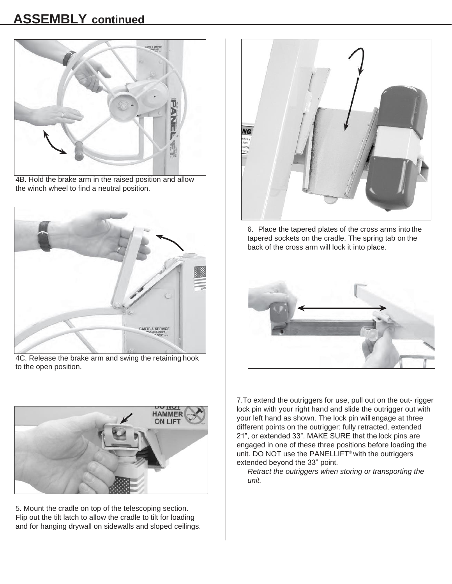### **ASSEMBLY continued**



4B. Hold the brake arm in the raised position and allow the winch wheel to find a neutral position.



4C. Release the brake arm and swing the retaining hook to the open position.



5. Mount the cradle on top of the telescoping section. Flip out the tilt latch to allow the cradle to tilt for loading and for hanging drywall on sidewalls and sloped ceilings.



6. Place the tapered plates of the cross arms into the tapered sockets on the cradle. The spring tab on the back of the cross arm will lock it into place.



7.To extend the outriggers for use, pull out on the out- rigger lock pin with your right hand and slide the outrigger out with your left hand as shown. The lock pin willengage at three different points on the outrigger: fully retracted, extended 21", or extended 33". MAKE SURE that the lock pins are engaged in one of these three positions before loading the unit. DO NOT use the PANELLIFT® with the outriggers extended beyond the 33" point.

*Retract the outriggers when storing or transporting the unit.*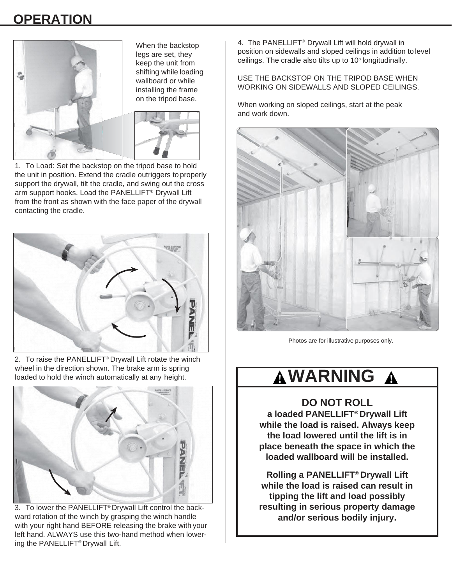# **OPERATION**



When the backstop legs are set, they keep the unit from shifting while loading wallboard or while installing the frame on the tripod base.



1. To Load: Set the backstop on the tripod base to hold the unit in position. Extend the cradle outriggers to properly support the drywall, tilt the cradle, and swing out the cross arm support hooks. Load the PANELLIFT® Drywall Lift from the front as shown with the face paper of the drywall contacting the cradle.



2. To raise the PANELLIFT® Drywall Lift rotate the winch wheel in the direction shown. The brake arm is spring loaded to hold the winch automatically at any height.



3. To lower the PANELLIFT® Drywall Lift control the backward rotation of the winch by grasping the winch handle with your right hand BEFORE releasing the brake with your left hand. ALWAYS use this two-hand method when lowering the PANELLIFT® Drywall Lift.

4. The PANELLIFT® Drywall Lift will hold drywall in position on sidewalls and sloped ceilings in addition to level ceilings. The cradle also tilts up to  $10^{\circ}$  longitudinally.

USE THE BACKSTOP ON THE TRIPOD BASE WHEN WORKING ON SIDEWALLS AND SLOPED CEILINGS.

When working on sloped ceilings, start at the peak and work down.



Photos are for illustrative purposes only.

#### **WARNING** $\boldsymbol{\Lambda}$

**DO NOT ROLL a loaded PANELLIFT® Drywall Lift while the load is raised. Always keep the load lowered until the lift is in** 

**place beneath the space in which the loaded wallboard will be installed.**

**Rolling a PANELLIFT® Drywall Lift while the load is raised can result in tipping the lift and load possibly resulting in serious property damage and/or serious bodily injury.**